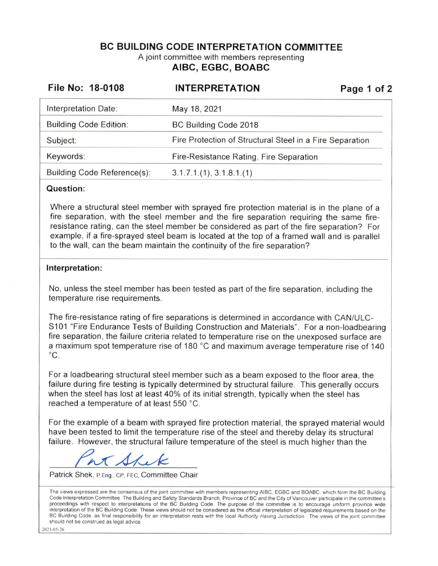# **BC BUILDING CODE INTERPRETATION COMMITTEE**  A joint committee with members representing **AIBC, EGBC, BOABC**

| File No: 18-0108              | <b>INTERPRETATION</b>                                    | Page 1 of 2 |
|-------------------------------|----------------------------------------------------------|-------------|
| Interpretation Date:          | May 18, 2021                                             |             |
| <b>Building Code Edition:</b> | BC Building Code 2018                                    |             |
| Subject:                      | Fire Protection of Structural Steel in a Fire Separation |             |
| Keywords:                     | Fire-Resistance Rating, Fire Separation                  |             |
| Building Code Reference(s):   | 3.1.7.1(1), 3.1.8.1(1)                                   |             |

### **Question:**

Where a structural steel member with sprayed fire protection material is in the plane of a fire separation, with the steel member and the fire separation requiring the same fireresistance rating, can the steel member be considered as part of the fire separation? For example, if a fire-sprayed steel beam is located at the top of a framed wall and is parallel to the wall, can the beam maintain the continuity of the fire separation?

### **Interpretation:**

No, unless the steel member has been tested as part of the fire separation, including the temperature rise requirements.

The fire-resistance rating of fire separations is determined in accordance with CAN/ULC-S101 "Fire Endurance Tests of Building Construction and Materials". For a non-load bearing fire separation, the failure criteria related to temperature rise on the unexposed surface are a maximum spot temperature rise of 180 °C and maximum average temperature rise of 140  $^{\circ}C$ .

For a loadbearing structural steel member such as a beam exposed to the floor area, the failure during fire testing is typically determined by structural failure. This generally occurs when the steel has lost at least 40% of its initial strength, typically when the steel has reached a temperature of at least 550 °C.

For the example of a beam with sprayed fire protection material, the sprayed material would have been tested to limit the temperature rise of the steel and thereby delay its structural failure. However, the structural failure temperature of the steel is much higher than the

 $\Lambda$ 

Patrick Shek, P.Eng., CP, FEC, Committee Chair

The views expressed are the consensus of the joint committee with members representing AIBC, EGBC and BOABC, which form the BC Building Code Interpretation Committee. The Building and Safety Standards Branch, Province of BC and the City of Vancouver participate in the committee's proceedings with respect to interpretations of the BC Building Code The purpose of the committee 1s to encourage uniform province wide interpretation of the BC Building Code These views should not be considered as the official interpretation of legislated requirements based on the BC Building Code, as final responsibility for an interpretation rests with the local Authority Having Jurisdiction. The views of the joint committee should not be construed as legal advice

202 1-05-26